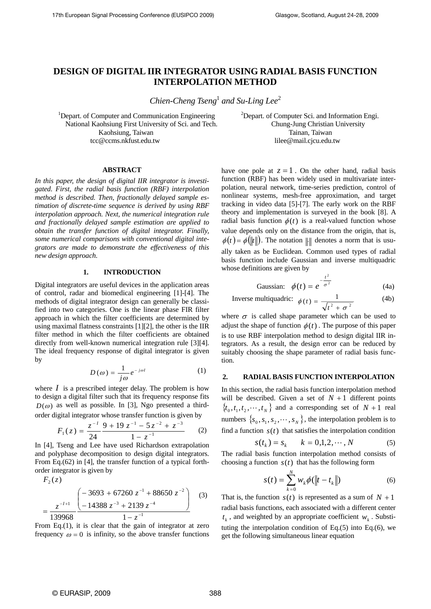# **DESIGN OF DIGITAL IIR INTEGRATOR USING RADIAL BASIS FUNCTION INTERPOLATION METHOD**

*Chien-Cheng Tseng*<sup>1</sup> and Su-Ling Lee<sup>2</sup>

<sup>1</sup>Depart. of Computer and Communication Engineering National Kaohsiung First University of Sci. and Tech. Chung-Jung Christian University Kaohsiung, Taiwan Taiman, Taiwan Tainan, Taiwan tcc@ccms.nkfust.edu.tw lilee@mail.cjcu.edu.tw

<sup>2</sup>Depart. of Computer Sci. and Information Engi.

# **ABSTRACT**

*In this paper, the design of digital IIR integrator is investigated. First, the radial basis function (RBF) interpolation method is described. Then, fractionally delayed sample estimation of discrete-time sequence is derived by using RBF interpolation approach. Next, the numerical integration rule and fractionally delayed sample estimation are applied to obtain the transfer function of digital integrator. Finally, some numerical comparisons with conventional digital integrators are made to demonstrate the effectiveness of this new design approach.* 

#### **1. INTRODUCTION**

Digital integrators are useful devices in the application areas of control, radar and biomedical engineering [1]-[4]. The methods of digital integrator design can generally be classified into two categories. One is the linear phase FIR filter approach in which the filter coefficients are determined by using maximal flatness constraints [1][2], the other is the IIR filter method in which the filter coefficients are obtained directly from well-known numerical integration rule [3][4]. The ideal frequency response of digital integrator is given by

$$
D(\omega) = \frac{1}{j\omega} e^{-j\omega l} \tag{1}
$$

where  $I$  is a prescribed integer delay. The problem is how to design a digital filter such that its frequency response fits  $D(\omega)$  as well as possible. In [3], Ngo presented a thirdorder digital integrator whose transfer function is given by

$$
F_1(z) = \frac{z^{-1}}{24} \frac{9 + 19 z^{-1} - 5 z^{-2} + z^{-3}}{1 - z^{-1}}
$$
 (2)

In [4], Tseng and Lee have used Richardson extrapolation and polyphase decomposition to design digital integrators. From Eq.(62) in [4], the transfer function of a typical forthorder integrator is given by

$$
F_2(z)
$$
\n
$$
= \frac{z^{-l+1}}{139968} \frac{\left(-3693 + 67260 z^{-1} + 88650 z^{-2}\right)}{1 - z^{-1}}
$$
\n(3)

From Eq.(1), it is clear that the gain of integrator at zero frequency  $\omega = 0$  is infinity, so the above transfer functions have one pole at  $z = 1$ . On the other hand, radial basis function (RBF) has been widely used in multivariate interpolation, neural network, time-series prediction, control of nonlinear systems, mesh-free approximation, and target tracking in video data [5]-[7]. The early work on the RBF theory and implementation is surveyed in the book [8]. A radial basis function  $\phi(t)$  is a real-valued function whose value depends only on the distance from the origin, that is,  $\phi(t) = \phi(||t||)$ . The notation  $|| \cdot ||$  denotes a norm that is usually taken as be Euclidean. Common used types of radial basis function include Gaussian and inverse multiquadric whose definitions are given by

Gaussian: 
$$
\phi(t) = e^{-\frac{t^2}{\sigma^2}}
$$
 (4a)

Inverse multiquadric: 
$$
\phi(t) = \frac{1}{\sqrt{t^2 + \sigma^2}}
$$
 (4b)

where  $\sigma$  is called shape parameter which can be used to adjust the shape of function  $\phi(t)$ . The purpose of this paper is to use RBF interpolation method to design digital IIR integrators. As a result, the design error can be reduced by suitably choosing the shape parameter of radial basis function.

#### **2. RADIAL BASIS FUNCTION INTERPOLATION**

In this section, the radial basis function interpolation method will be described. Given a set of  $N + 1$  different points  ${x_0, t_1, t_2, \dots, t_N}$  and a corresponding set of  $N + 1$  real numbers  $\{s_0, s_1, s_2, \dots, s_N\}$ , the interpolation problem is to find a function  $s(t)$  that satisfies the interpolation condition

$$
s(t_k) = s_k \t k = 0, 1, 2, \cdots, N \t (5)
$$

The radial basis function interpolation method consists of choosing a function  $s(t)$  that has the following form

$$
s(t) = \sum_{k=0}^{N} w_k \phi(||t - t_k||)
$$
 (6)

That is, the function  $s(t)$  is represented as a sum of  $N + 1$ radial basis functions, each associated with a different center  $t_k$ , and weighted by an appropriate coefficient  $w_k$ . Substituting the interpolation condition of Eq. $(5)$  into Eq. $(6)$ , we get the following simultaneous linear equation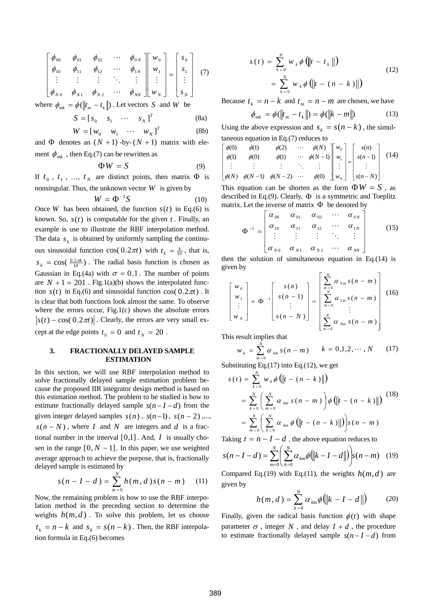$$
\begin{bmatrix}\n\phi_{00} & \phi_{01} & \phi_{02} & \cdots & \phi_{0N} \\
\phi_{10} & \phi_{11} & \phi_{12} & \cdots & \phi_{1N} \\
\vdots & \vdots & \vdots & \ddots & \vdots \\
\phi_{N0} & \phi_{N1} & \phi_{N2} & \cdots & \phi_{NN}\n\end{bmatrix}\n\begin{bmatrix}\nw_0 \\
w_1 \\
\vdots \\
w_N\n\end{bmatrix} =\n\begin{bmatrix}\ns_0 \\
s_1 \\
\vdots \\
s_N\n\end{bmatrix}
$$
\n(7)

where  $\phi_{mk} = \phi(||t_m - t_k||)$ . Let vectors *S* and *W* be

$$
S = [s_0 \quad s_1 \quad \cdots \quad s_N]^T
$$
 (8a)

$$
W = \begin{bmatrix} w_0 & w_1 & \cdots & w_N \end{bmatrix}^T
$$
 (8b)

and  $\Phi$  denotes an  $(N + 1)$  -by- $(N + 1)$  matrix with element  $\phi_{mk}$ , then Eq.(7) can be rewritten as

$$
\Phi W = S \tag{9}
$$

If  $t_0$ ,  $t_1$ , ...,  $t_N$  are distinct points, then matrix  $\Phi$  is nonsingular. Thus, the unknown vector  $W$  is given by

$$
W = \Phi^{-1}S \tag{10}
$$

Once *W* has been obtained, the function  $s(t)$  in Eq.(6) is known. So,  $s(t)$  is computable for the given  $t$ . Finally, an example is use to illustrate the RBF interpolation method. The data  $s_k$  is obtained by uniformly sampling the continuous sinusoidal function  $cos(0.2\pi t)$  with  $t_k = \frac{k}{10}$ , that is,  $s_k = \cos(\frac{0.2\pi k}{10})$ . The radial basis function is chosen as Gaussian in Eq.(4a) with  $\sigma = 0.1$ . The number of points are  $N + 1 = 201$ . Fig.1(a)(b) shows the interpolated function  $s(t)$  in Eq.(6) and sinusoidal function  $\cos(0.2\pi t)$ . It is clear that both functions look almost the same. To observe where the errors occur, Fig.1(c) shows the absolute errors  $|s(t) - \cos(0.2\pi t)|$ . Clearly, the errors are very small except at the edge points  $t_0 = 0$  and  $t_N = 20$ .

## **3. FRACTIONALLY DELAYED SAMPLE ESTIMATION**

In this section, we will use RBF interpolation method to solve fractionally delayed sample estimation problem because the proposed IIR integrator design method is based on this estimation method. The problem to be studied is how to estimate fractionally delayed sample  $s(n-I-d)$  from the given integer delayed samples  $s(n)$ ,  $s(n-1)$ ,  $s(n-2)$ ,...  $s(n - N)$ , where *I* and *N* are integers and *d* is a fractional number in the interval [0,1]. And, *I* is usually chosen in the range  $[0, N - 1]$ . In this paper, we use weighted average approach to achieve the purpose, that is, fractionally delayed sample is estimated by

$$
s(n - I - d) = \sum_{m=0}^{N} h(m, d) s(n - m)
$$
 (11)

Now, the remaining problem is how to use the RBF interpolation method in the preceding section to determine the weights  $h(m, d)$ . To solve this problem, let us choose  $t_k = n - k$  and  $s_k = s(n - k)$ . Then, the RBF interpolation formula in Eq.(6) becomes

$$
s(t) = \sum_{k=0}^{N} w_k \phi \left( ||t - t_k|| \right)
$$
  
= 
$$
\sum_{k=0}^{N} w_k \phi \left( ||t - (n - k)|| \right)
$$
 (12)

Because  $t_k = n - k$  and  $t_m = n - m$  are chosen, we have

$$
\phi_{mk} = \phi(||t_m - t_k||) = \phi(||k - m||)
$$
 (13)

Using the above expression and  $s_k = s(n-k)$ , the simultaneous equation in Eq.(7) reduces to

$$
\begin{array}{llll}\n\phi(0) & \phi(1) & \phi(2) & \cdots & \phi(N) \\
\phi(1) & \phi(0) & \phi(1) & \cdots & \phi(N-1) \\
\vdots & \vdots & \vdots & \ddots & \vdots \\
\phi(N) & \phi(N-1) & \phi(N-2) & \cdots & \phi(0)\n\end{array}\n\begin{bmatrix}\nw_0 \\
w_1 \\
\vdots \\
w_N\n\end{bmatrix}\n=\n\begin{bmatrix}\ns(n) \\
s(n-1) \\
\vdots \\
s(n-N)\n\end{bmatrix}\n\tag{14}
$$

This equation can be shorten as the form  $\Phi W = S$ , as described in Eq.(9). Clearly,  $\Phi$  is a symmetric and Toeplitz matrix. Let the inverse of matrix  $\Phi$  be denoted by

$$
\Phi^{-1} = \begin{bmatrix} \alpha_{00} & \alpha_{01} & \alpha_{02} & \cdots & \alpha_{0N} \\ \alpha_{10} & \alpha_{11} & \alpha_{12} & \cdots & \alpha_{1N} \\ \vdots & \vdots & \vdots & \ddots & \vdots \\ \alpha_{N0} & \alpha_{N1} & \alpha_{N2} & \cdots & \alpha_{NN} \end{bmatrix}
$$
 (15)

then the solution of simultaneous equation in Eq.(14) is given by

$$
\begin{bmatrix} w_0 \\ w_1 \\ \vdots \\ w_N \end{bmatrix} = \Phi^{-1} \begin{bmatrix} s(n) \\ s(n-1) \\ \vdots \\ s(n-N) \end{bmatrix} = \begin{bmatrix} \sum_{m=0}^{N} \alpha_{0m} s(n-m) \\ \sum_{m=0}^{N} \alpha_{1m} s(n-m) \\ \vdots \\ \sum_{m=0}^{N} \alpha_{Nm} s(n-m) \end{bmatrix}
$$
(16)

This result implies that

⎢  $\lfloor$  $\lfloor$  $\lfloor$ 

 $\lfloor$ 

⎣

$$
w_k = \sum_{m=0}^{N} \alpha_{km} s(n-m) \qquad k = 0,1,2,\cdots,N \qquad (17)
$$

Substituting Eq.(17) into Eq.(12), we get

$$
s(t) = \sum_{k=0}^{N} w_k \phi \left( ||t - (n - k)|| \right)
$$
  
= 
$$
\sum_{k=0}^{N} \left( \sum_{m=0}^{N} \alpha_{km} s(n - m) \right) \phi \left( ||t - (n - k)|| \right)
$$
  
= 
$$
\sum_{m=0}^{N} \left( \sum_{k=0}^{N} \alpha_{km} \phi \left( ||t - (n - k)|| \right) \right) s(n - m)
$$
 (18)

Taking  $t = n - I - d$ , the above equation reduces to

$$
s(n-I-d) = \sum_{m=0}^{N} \left( \sum_{k=0}^{N} \alpha_{km} \phi(||k-I-d||) \right) s(n-m) \quad (19)
$$

Compared Eq.(19) with Eq.(11), the weights  $h(m, d)$  are given by

$$
h(m, d) = \sum_{k=0}^{N} \alpha_{km} \phi(|k - I - d|)
$$
 (20)

Finally, given the radical basis function  $\phi(t)$  with shape parameter  $\sigma$ , integer N, and delay  $I + d$ , the procedure to estimate fractionally delayed sample  $s(n-I-d)$  from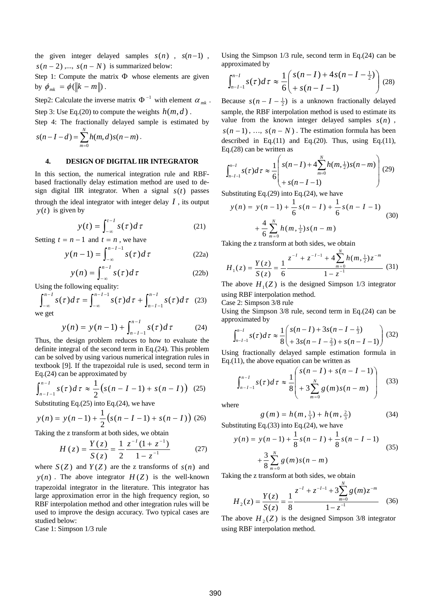the given integer delayed samples  $s(n)$ ,  $s(n-1)$ ,  $s(n-2)$ ,...,  $s(n-N)$  is summarized below:

Step 1: Compute the matrix Φ whose elements are given by  $\phi_{mk} = \phi(\Vert k - m \Vert)$ .

Step2: Calculate the inverse matrix  $\Phi^{-1}$  with element  $\alpha_{mk}$ .

Step 3: Use Eq.(20) to compute the weights  $h(m, d)$ .

Step 4: The fractionally delayed sample is estimated by

$$
s(n-I-d) = \sum_{m=0}^{N} h(m,d) s(n-m).
$$

#### **4. DESIGN OF DIGITAL IIR INTEGRATOR**

In this section, the numerical integration rule and RBFbased fractionally delay estimation method are used to design digital IIR integrator. When a signal *s*(*t*) passes through the ideal integrator with integer delay  $I$ , its output  $y(t)$  is given by

$$
y(t) = \int_{-\infty}^{t-1} s(\tau) d\tau
$$
 (21)

Setting  $t = n - 1$  and  $t = n$ , we have

$$
y(n-1) = \int_{-\infty}^{n-I-1} s(\tau) d\tau
$$
 (22a)

$$
y(n) = \int_{-\infty}^{n-1} s(\tau) d\tau
$$
 (22b)

Using the following equality:

$$
\int_{-\infty}^{n-1} s(\tau) d\tau = \int_{-\infty}^{n-1} s(\tau) d\tau + \int_{n-1-1}^{n-1} s(\tau) d\tau \quad (23)
$$

we get

$$
y(n) = y(n-1) + \int_{n-I-1}^{n-I} s(\tau) d\tau
$$
 (24)

Thus, the design problem reduces to how to evaluate the definite integral of the second term in Eq.(24). This problem can be solved by using various numerical integration rules in textbook [9]. If the trapezoidal rule is used, second term in Eq.(24) can be approximated by

$$
\int_{n-I-1}^{n-I} s(\tau) d\tau \approx \frac{1}{2} (s(n-I-1) + s(n-I))
$$
 (25)

Substituting Eq.(25) into Eq.(24), we have

$$
y(n) = y(n-1) + \frac{1}{2} (s(n-I-1) + s(n-I))
$$
 (26)

Taking the z transform at both sides, we obtain

$$
H(z) = \frac{Y(z)}{S(z)} = \frac{1}{2} \frac{z^{-1}(1+z^{-1})}{1-z^{-1}}
$$
 (27)

where  $S(Z)$  and  $Y(Z)$  are the z transforms of  $s(n)$  and  $y(n)$ . The above integrator  $H(Z)$  is the well-known trapezoidal integrator in the literature. This integrator has large approximation error in the high frequency region, so RBF interpolation method and other integration rules will be used to improve the design accuracy. Two typical cases are studied below:

Case 1: Simpson 1/3 rule

Using the Simpson 1/3 rule, second term in Eq.(24) can be approximated by

$$
\int_{n-I-1}^{n-I} s(\tau) d\tau \approx \frac{1}{6} \left( \frac{s(n-I) + 4s(n-I-\frac{1}{2})}{s(n-I-1)} \right) (28)
$$

Because  $s(n - I - \frac{1}{2})$  is a unknown fractionally delayed sample, the RBF interpolation method is used to estimate its value from the known integer delayed samples  $s(n)$ ,  $s(n-1)$ , …,  $s(n-N)$ . The estimation formula has been described in Eq.(11) and Eq.(20). Thus, using Eq.(11), Eq.(28) can be written as

$$
\int_{n-I-1}^{n-I} s(\tau) d\tau \approx \frac{1}{6} \left( \frac{s(n-I) + 4 \sum_{m=0}^{N} h(m, \frac{1}{2}) s(n-m)}{s(n-I-1)} \right) (29)
$$

Substituting Eq.(29) into Eq.(24), we have

$$
y(n) = y(n-1) + \frac{1}{6}s(n-I) + \frac{1}{6}s(n-I-1)
$$
  
+ 
$$
\frac{4}{6}\sum_{m=0}^{N}h(m,\frac{1}{2})s(n-m)
$$
 (30)

Taking the z transform at both sides, we obtain

$$
H_1(z) = \frac{Y(z)}{S(z)} = \frac{1}{6} \frac{z^{-1} + z^{-1-1} + 4 \sum_{m=0}^{N} h(m, \frac{1}{2}) z^{-m}}{1 - z^{-1}} \tag{31}
$$

The above  $H_1(Z)$  is the designed Simpson 1/3 integrator using RBF interpolation method.

Case 2: Simpson 3/8 rule

Using the Simpson 3/8 rule, second term in Eq.(24) can be approximated by

$$
\int_{n-I-1}^{n-I} s(\tau) d\tau \approx \frac{1}{8} \left( \frac{s(n-I) + 3s(n-I-\frac{1}{3})}{+3s(n-I-\frac{2}{3}) + s(n-I-1)} \right) (32)
$$

Using fractionally delayed sample estimation formula in Eq.(11), the above equation can be written as

$$
\int_{n-I-1}^{n-I} s(\tau) d\tau \approx \frac{1}{8} \left( \frac{s(n-I) + s(n-I-1)}{s \sum_{m=0}^{N} g(m) s(n-m)} \right) \tag{33}
$$

where

$$
g(m) = h(m, \frac{1}{3}) + h(m, \frac{2}{3})
$$
 (34)

Substituting Eq.(33) into Eq.(24), we have

$$
y(n) = y(n-1) + \frac{1}{8}s(n-I) + \frac{1}{8}s(n-I-1)
$$
  
+ 
$$
\frac{3}{8} \sum_{m=0}^{N} g(m)s(n-m)
$$
 (35)

Taking the z transform at both sides, we obtain

$$
H_2(z) = \frac{Y(z)}{S(z)} = \frac{1}{8} \frac{z^{-1} + z^{-1-1} + 3 \sum_{m=0}^{N} g(m) z^{-m}}{1 - z^{-1}}
$$
 (36)

The above  $H_2(Z)$  is the designed Simpson 3/8 integrator using RBF interpolation method.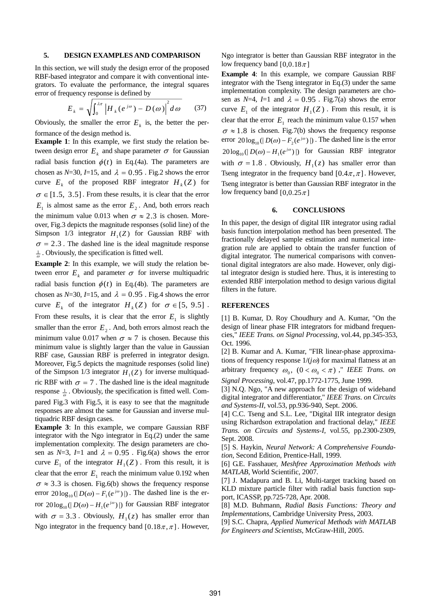#### **5. DESIGN EXAMPLES AND COMPARISON**

In this section, we will study the design error of the proposed RBF-based integrator and compare it with conventional integrators. To evaluate the performance, the integral squares error of frequency response is defined by

$$
E_{k} = \sqrt{\int_{0}^{\lambda \pi} \left| H_{k}(e^{j\omega}) - D(\omega) \right|^{2} d\omega}
$$
 (37)

Obviously, the smaller the error  $E_k$  is, the better the performance of the design method is.

**Example 1**: In this example, we first study the relation between design error  $E_k$  and shape parameter  $\sigma$  for Gaussian radial basis function  $\phi(t)$  in Eq.(4a). The parameters are chosen as *N*=30, *I*=15, and  $\lambda = 0.95$ . Fig.2 shows the error curve  $E_k$  of the proposed RBF integrator  $H_k(Z)$  for  $\sigma \in [1.5, 3.5]$ . From these results, it is clear that the error  $E_1$  is almost same as the error  $E_2$ . And, both errors reach the minimum value 0.013 when  $\sigma \approx 2.3$  is chosen. Moreover, Fig.3 depicts the magnitude responses (solid line) of the Simpson  $1/3$  integrator  $H_1(Z)$  for Gaussian RBF with  $\sigma = 2.3$ . The dashed line is the ideal magnitude response  $\frac{1}{\omega}$ . Obviously, the specification is fitted well.

**Example 2**: In this example, we will study the relation between error  $E_k$  and parameter  $\sigma$  for inverse multiquadric radial basis function  $\phi(t)$  in Eq.(4b). The parameters are chosen as  $N=30$ ,  $I=15$ , and  $\lambda = 0.95$ . Fig.4 shows the error curve  $E_k$  of the integrator  $H_k(Z)$  for  $\sigma \in [5, 9.5]$ . From these results, it is clear that the error  $E_1$  is slightly smaller than the error  $E_2$ . And, both errors almost reach the minimum value 0.017 when  $\sigma \approx 7$  is chosen. Because this minimum value is slightly larger than the value in Gaussian RBF case, Gaussian RBF is preferred in integrator design. Moreover, Fig.5 depicts the magnitude responses (solid line) of the Simpson  $1/3$  integrator  $H_1(Z)$  for inverse multiquadric RBF with  $\sigma = 7$ . The dashed line is the ideal magnitude response  $\frac{1}{\omega}$ . Obviously, the specification is fitted well. Compared Fig.3 with Fig.5, it is easy to see that the magnitude responses are almost the same for Gaussian and inverse multiquadric RBF design cases.

**Example 3**: In this example, we compare Gaussian RBF integrator with the Ngo integrator in Eq.(2) under the same implementation complexity. The design parameters are chosen as  $N=3$ ,  $I=1$  and  $\lambda = 0.95$ . Fig.6(a) shows the error curve  $E_1$  of the integrator  $H_1(Z)$ . From this result, it is clear that the error  $E_1$  reach the minimum value 0.192 when  $\sigma \approx 3.3$  is chosen. Fig.6(b) shows the frequency response error  $20\log_{10}(|D(\omega) - F_1(e^{j\omega})|)$ . The dashed line is the error  $20\log_{10}(|D(\omega) - H_1(e^{j\omega})|)$  for Gaussian RBF integrator with  $\sigma = 3.3$ . Obviously,  $H_1(z)$  has smaller error than Ngo integrator in the frequency band  $[0.18\pi, \pi]$ . However,

Ngo integrator is better than Gaussian RBF integrator in the low frequency band  $[0,0.18 \pi]$ 

**Example 4**: In this example, we compare Gaussian RBF integrator with the Tseng integrator in Eq.(3) under the same implementation complexity. The design parameters are chosen as  $N=4$ ,  $I=1$  and  $\lambda = 0.95$ . Fig.7(a) shows the error curve  $E_1$  of the integrator  $H_1(Z)$ . From this result, it is clear that the error  $E_1$  reach the minimum value 0.157 when  $\sigma \approx 1.8$  is chosen. Fig.7(b) shows the frequency response error  $20 \log_{10}(|D(\omega) - F_2(e^{j\omega})|)$ . The dashed line is the error  $20 \log_{10}(|D(\omega) - H_1(e^{j\omega})|)$  for Gaussian RBF integrator with  $\sigma = 1.8$ . Obviously,  $H_1(z)$  has smaller error than Tseng integrator in the frequency band  $[0.4\pi, \pi]$ . However, Tseng integrator is better than Gaussian RBF integrator in the low frequency band  $[0,0.25 \pi]$ 

#### **6. CONCLUSIONS**

In this paper, the design of digital IIR integrator using radial basis function interpolation method has been presented. The fractionally delayed sample estimation and numerical integration rule are applied to obtain the transfer function of digital integrator. The numerical comparisons with conventional digital integrators are also made. However, only digital integrator design is studied here. Thus, it is interesting to extended RBF interpolation method to design various digital filters in the future.

## **REFERENCES**

[1] B. Kumar, D. Roy Choudhury and A. Kumar, "On the design of linear phase FIR integrators for midband frequencies," *IEEE Trans. on Signal Processing*, vol.44, pp.345-353, Oct. 1996.

[2] B. Kumar and A. Kumar, "FIR linear-phase approximations of frequency response  $1/(j\omega)$  for maximal flatness at an arbitrary frequency  $\omega_0$ ,  $(0 < \omega_0 < \pi)$ ," *IEEE Trans. on Signal Processing*, vol.47, pp.1772-1775, June 1999.

[3] N.Q. Ngo, "A new approach for the design of wideband digital integrator and differentiator," *IEEE Trans. on Circuits and Systems-II,* vol.53, pp.936-940, Sept. 2006.

[4] C.C. Tseng and S.L. Lee, "Digital IIR integrator design using Richardson extrapolation and fractional delay," *IEEE Trans. on Circuits and Systems-I,* vol.55, pp.2300-2309, Sept. 2008.

[5] S. Haykin, *Neural Network: A Comprehensive Foundation*, Second Edition, Prentice-Hall, 1999.

[6] G.E. Fasshauer, *Meshfree Approximation Methods with MATLAB*, World Scientific, 2007.

[7] J. Madapura and B. Li, Multi-target tracking based on KLD mixture particle filter with radial basis function support, ICASSP, pp.725-728, Apr. 2008.

[8] M.D. Buhmann, *Radial Basis Functions: Theory and Implementations*, Cambridge University Press, 2003.

[9] S.C. Chapra, *Applied Numerical Methods with MATLAB for Engineers and Scientists*, McGraw-Hill, 2005.